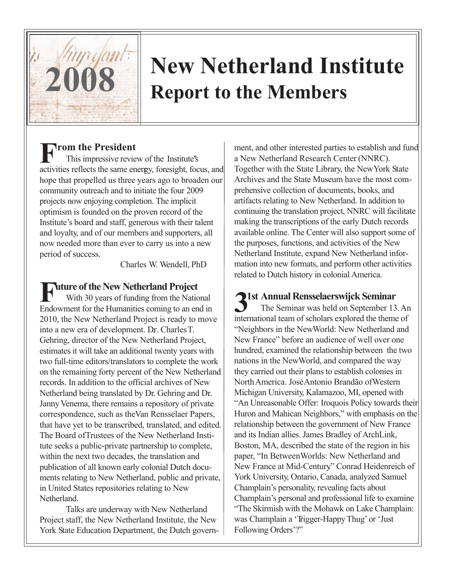

## **2008 New Netherland Institute Report to the Members**

## **From the President**

This impressive review of the Institute's' activities reflects the same enerrgy, foresight, focus, and hope that propelled us three years ago to broaden our community outreach and to initiate the four 2009 projects now enjoying completion. The implicit optimism is founded on the proven record of the Institute's board and staff, generous with their talent and loyalty, and of our members and supporters, all now needed more than ever to carry us into a new period of success.

Charles W. Wendell, PhD

# **Future of the New Netherland Project**

With 30 years of funding from the National Endowment for the Humanities coming to an end in 2010, the New Netherland Project is ready to move into a new era of development. Dr. Charles T. Gehring, director of the New Netherland Project, estimates it will take an additional twenty years with two full-time editors/translators to complete the work on the remaining forty percent of the New Netherland records. In addition to the official archives of New Netherland being translated by Dr.. Gehring and Dr.. Janny Venema, there remains a repository of private correspondence, such as the Van Rensselaer Papers, that have yet to be transcribed, translated, and edited. The Board of Trustees of the New Netherland Institute seeks a public-private partnership to complete, within the next two decades, the translation and publication of all known early colonial Dutch documents relating to New Netherland, public and private, in United States repositories relating to New Netherland.

Talks are underway with New Netherland Project staff, the New Netherland Institute, the New York State Education Department, the Dutch govern-

ment, and other interested parties to establish and fund a New Netherland Research Center (NNRC). Together with the State Library, the New York State Archives and the State Museum have the most comprehensive collection of documents, books, and artifacts relating to New Netherland. In addition to continuing the translation project, NNRC will facilitate making the transcriptions of the early Dutch records available online. The Center will also support some of the purposes, functions, and activities of the New Netherland Institute, expand New Netherland information into new formats, and perform other activities related to Dutch history in colonial America.

**31st Annual Rensselaerswijck Seminar** The Seminar was held on September 13. An international team of scholars explored the theme of "Neighbors in the New World: New Netherland and New France" before an audience of well over one hundred, examined the relationship between the two nations in the New World, and compared the way they carried out their plans to establish colonies in North America. José Antonio Brandão of Western Michigan University, Kalamazoo, MI, opened with "An Unreasonable Offer: Iroquois Policy towards their Huron and Mahican Neighbors," with emphasis on the relationship between the government of New France and its Indian allies. James Bradley of ArchLink, Boston, MA, described the state of the region in his paper, "In Between Worlds: New Netherland and New France at Mid-Century" Conrad Heidenreich of York University, Ontario, Canada, analyzed Samuel Champlain's personality, revealing facts about Champlain's personal and professional life to examine "The Skirmish with the Mohawk on Lake Champlain: was Champlain a 'Trigger-Happy Thug' or 'Just Following Orders'?"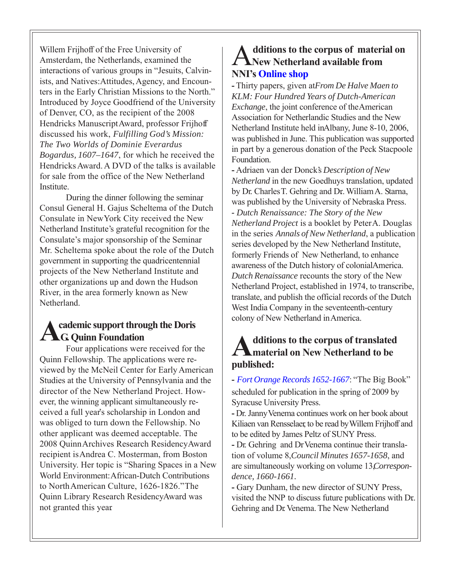Willem Frijhoff of the Free University of Amsterdam, the Netherlands, examined the interactions of various groups in "Jesuits, Calvinists, and Natives: Attitudes, Agency, and Encounters in the Early Christian Missions to the North." Introduced by Joyce Goodfriend of the University of Denver, CO, as the recipient of the 2008 Hendricks Manuscript Award, professor Frijhoff discussed his work, *Fulfilling God's Mission: The Two Worlds of Dominie Everardus Bogardus, 1607–1647*, for which he received the Hendricks Award. A DVD of the talks is available for sale from the office of the New Netherland **Institute** 

During the dinner following the seminar, Consul General H. Gajus Scheltema of the Dutch Consulate in New York City received the New Netherland Institute's grateful recognition for the Consulate's major sponsorship of the Seminar. Mr. Scheltema spoke about the role of the Dutch government in supporting the quadricentennial projects of the New Netherland Institute and other organizations up and down the Hudson River, in the area formerly known as New Netherland.

#### **Academic support through the Doris G. Quinn Foundation**

Four applications were received for the Quinn Fellowship. The applications were reviewed by the McNeil Center for Early American Studies at the University of Pennsylvania and the director of the New Netherland Project. However, the winning applicant simultaneously received a full year's scholarship in London and was obliged to turn down the Fellowship. No other applicant was deemed acceptable. The 2008 Quinn Archives Research Residency Award recipient is Andrea C. Mosterman, from Boston University. Her topic is "Sharing Spaces in a New World Environment: African-Dutch Contributions to North American Culture, 1626-1826." The Quinn Library Research Residency Award was not granted this year.

#### A**dditions to the corpus of material on New Netherland available [fr](http://www.nnp.org/shop)om NNI's [Online shop](http://www.nnp.org/shop)**

- Thirty papers, given at *From De Halve Maen to KLM: Four Hundred Years of Dutch-American Exchange*, the joint conference of the American Association for Netherlandic Studies and the New Netherland Institute held in Albany, June 8-10, 2006, was published in June. This publication was supported in part by a generous donation of the Peck Stacpoole Foundation.

**-** Adriaen van der Donck's *Description of New Netherland* in the new Goedhuys translation, updated by Dr. Charles T. Gehring and Dr.. William A. Starna, was published by the University of Nebraska Press. *- Dutch Renaissance: The Story of the New Netherland Project* is a booklet by Peter A. Douglas in the series *Annals of New Netherland*, a publication series developed by the New Netherland Institute, formerly Friends of New Netherland, to enhance awareness of the Dutch history of colonial America. *Dutch Renaissance* recounts the story of the New Netherland Project, established in 1974, to transcribe, translate, and publish the official records of the Dutch West India Company in the seventeenth-century colony of New Netherland in America.

#### **Additions to the corpus of translated material on New Netherland to be published:**

**-** *[Fort Orange Records 1652-1667](http://www.nnp.org/nnp/publications/index.html)*: "The Big Book" scheduled for publication in the spring of 2009 by Syracuse University Press.

**-** Dr. Janny Venema continues work on her book about Kiliaen van Rensselaer, to be read by Willem Frijhoff and to be edited by James Peltz of SUNY Press.

**-** Dr. Gehring and Dr. Venema continue their translation of volume 8, *Council Minutes 1657-1658*, and are simultaneously working on volume 13 *Correspon dence, 1660-1661.*

**-** Gary Dunham, the new director of SUNY Press, visited the NNP to discuss future publications with Dr.. Gehring and Dr. Venema. The New Netherland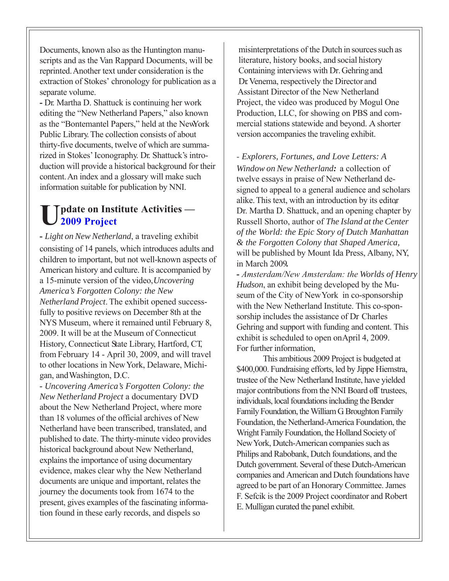Documents, known also as the Huntington manuscripts and as the Van Rappard Documents, will be reprinted. Another text under consideration is the extraction of Stokes' chronology for publication as a separate volume.

**-** Dr. Martha D. Shattuck is continuing her work editing the "New Netherland Papers," also known as the "Bontemantel Papers," held at the New York Public Library. The collection consists of about thirty-five documents, twelve of which are summarized in Stokes' Iconography. Dr. Shattuck's introduction will provide a historical background for their content. An index and a glossary will make such information suitable for publication by NNI.

#### **[U](http://www.nnp.org/2009/info.html)pdate on Institute Activities — 2009 Project**

**-** *Light on New Netherland*, a traveling exhibit consisting of 14 panels, which introduces adults and children to important, but not well-known aspects of American history and culture. It is accompanied by a 15-minute version of the video,*Uncovering America's Forgotten Colony: the New Netherland Project*. The exhibit opened successfully to positive reviews on December 8th at the NYS Museum, where it remained until February 8, 2009. It will be at the Museum of Connecticut History, Connecticut State Library, Hartford, CT, from February 14 - April 30, 2009, and will travel to other locations in New York, Delaware, Michigan, and Washington, D.C.

*- Uncovering America's Forgotten Colony: the New Netherland Project* a documentary DVD about the New Netherland Project, where more than 18 volumes of the official archives of New Netherland have been transcribed, translated, and published to date. The thirty-minute video provides historical background about New Netherland, explains the importance of using documentary evidence, makes clear why the New Netherland documents are unique and important, relates the journey the documents took from 1674 to the present, gives examples of the fascinating information found in these early records, and dispels so

 misinterpretations of the Dutch in sources such as literature, history books, and social history Containing interviews with Dr. Gehring and . Dr. Venema, respectively the Director and Assistant Director of the New Netherland Project, the video was produced by Mogul One Production, LLC, for showing on PBS and commercial stations statewide and beyond. A shorter version accompanies the traveling exhibit.

*- Explorers, Fortunes, and Love Letters: A Window on New Netherland:* a collection of twelve essays in praise of New Netherland designed to appeal to a general audience and scholars alike. This text, with an introduction by its editor, Dr. Martha D. Shattuck, and an opening chapter by Russell Shorto, author of *The Island at the Center of the World: the Epic Story of Dutch Manhattan & the Forgotten Colony that Shaped America,* will be published by Mount Ida Press, Albany, NY, in March 2009**.**

**-** *Amsterdam/New Amsterdam: the Worlds of Henry Hudson*, an exhibit being developed by the Museum of the City of New York in co-sponsorship with the New Netherland Institute. This co-sponsorship includes the assistance of Dr. Charles Gehring and support with funding and content. This exhibit is scheduled to open onApril 4, 2009. For further information,

This ambitious 2009 Project is budgeted at \$400,000. Fundraising efforts, led by Jippe Hiemstra, trustee of the New Netherland Institute, have yielded major contributions from the NNI Board off trustees, individuals, local foundations including the Bender Family Foundation, the William G. Broughton Family Foundation, the Netherland-America Foundation, the Wright Family Foundation, the Holland Society of New York, Dutch-American companies such as Philips and Rabobank, Dutch foundations, and the Dutch government. Several of these Dutch-American companies and American and Dutch foundations have agreed to be part of an Honorary Committee. James F. Sefcik is the 2009 Project coordinator and Robert E. Mulligan curated the panel exhibit.